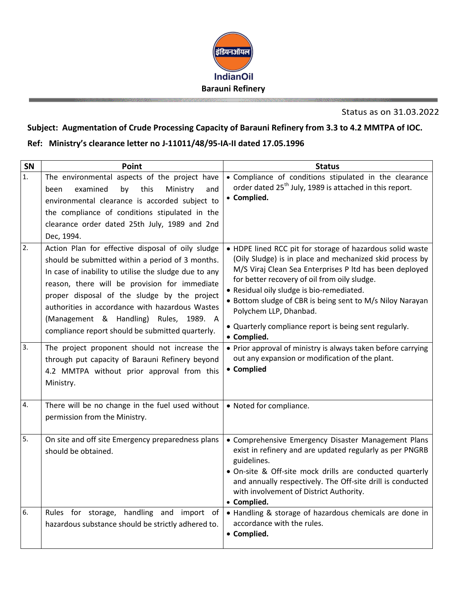

Status as on 31.03.2022

## **Subject: Augmentation of Crude Processing Capacity of Barauni Refinery from 3.3 to 4.2 MMTPA of IOC.**

## **Ref: Ministry's clearance letter no J-11011/48/95-IA-II dated 17.05.1996**

| SN       | Point                                                                                                                                                                                                                                                                                                                                                                                                                                                                                                                | <b>Status</b>                                                                                                                                                                                                                                                                                                                                                                                                                                                                                                                                                    |
|----------|----------------------------------------------------------------------------------------------------------------------------------------------------------------------------------------------------------------------------------------------------------------------------------------------------------------------------------------------------------------------------------------------------------------------------------------------------------------------------------------------------------------------|------------------------------------------------------------------------------------------------------------------------------------------------------------------------------------------------------------------------------------------------------------------------------------------------------------------------------------------------------------------------------------------------------------------------------------------------------------------------------------------------------------------------------------------------------------------|
| 1.       | The environmental aspects of the project have<br>this<br>examined<br>by<br>Ministry<br>been<br>and<br>environmental clearance is accorded subject to<br>the compliance of conditions stipulated in the<br>clearance order dated 25th July, 1989 and 2nd<br>Dec, 1994.                                                                                                                                                                                                                                                | • Compliance of conditions stipulated in the clearance<br>order dated 25 <sup>th</sup> July, 1989 is attached in this report.<br>• Complied.                                                                                                                                                                                                                                                                                                                                                                                                                     |
| 2.<br>3. | Action Plan for effective disposal of oily sludge<br>should be submitted within a period of 3 months.<br>In case of inability to utilise the sludge due to any<br>reason, there will be provision for immediate<br>proper disposal of the sludge by the project<br>authorities in accordance with hazardous Wastes<br>(Management & Handling) Rules, 1989. A<br>compliance report should be submitted quarterly.<br>The project proponent should not increase the<br>through put capacity of Barauni Refinery beyond | • HDPE lined RCC pit for storage of hazardous solid waste<br>(Oily Sludge) is in place and mechanized skid process by<br>M/S Viraj Clean Sea Enterprises P ltd has been deployed<br>for better recovery of oil from oily sludge.<br>· Residual oily sludge is bio-remediated.<br>• Bottom sludge of CBR is being sent to M/s Niloy Narayan<br>Polychem LLP, Dhanbad.<br>• Quarterly compliance report is being sent regularly.<br>• Complied.<br>• Prior approval of ministry is always taken before carrying<br>out any expansion or modification of the plant. |
| 4.       | 4.2 MMTPA without prior approval from this<br>Ministry.<br>There will be no change in the fuel used without                                                                                                                                                                                                                                                                                                                                                                                                          | • Complied<br>• Noted for compliance.                                                                                                                                                                                                                                                                                                                                                                                                                                                                                                                            |
|          | permission from the Ministry.                                                                                                                                                                                                                                                                                                                                                                                                                                                                                        |                                                                                                                                                                                                                                                                                                                                                                                                                                                                                                                                                                  |
| 5.       | On site and off site Emergency preparedness plans<br>should be obtained.                                                                                                                                                                                                                                                                                                                                                                                                                                             | • Comprehensive Emergency Disaster Management Plans<br>exist in refinery and are updated regularly as per PNGRB<br>guidelines.<br>• On-site & Off-site mock drills are conducted quarterly<br>and annually respectively. The Off-site drill is conducted<br>with involvement of District Authority.<br>• Complied.                                                                                                                                                                                                                                               |
| 6.       | Rules for storage, handling and import of<br>hazardous substance should be strictly adhered to.                                                                                                                                                                                                                                                                                                                                                                                                                      | • Handling & storage of hazardous chemicals are done in<br>accordance with the rules.<br>• Complied.                                                                                                                                                                                                                                                                                                                                                                                                                                                             |